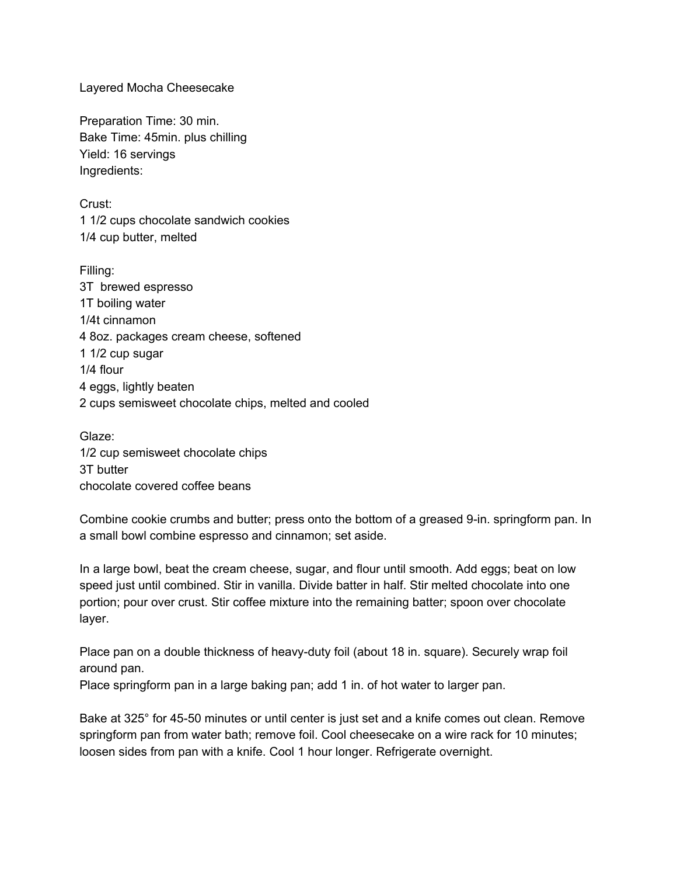Layered Mocha Cheesecake

Preparation Time: 30 min. Bake Time: 45min. plus chilling Yield: 16 servings Ingredients:

Crust: 1 1/2 cups chocolate sandwich cookies 1/4 cup butter, melted

Filling: 3T brewed espresso 1T boiling water 1/4t cinnamon 4 8oz. packages cream cheese, softened 1 1/2 cup sugar 1/4 flour 4 eggs, lightly beaten 2 cups semisweet chocolate chips, melted and cooled

Glaze: 1/2 cup semisweet chocolate chips 3T butter chocolate covered coffee beans

Combine cookie crumbs and butter; press onto the bottom of a greased 9-in. springform pan. In a small bowl combine espresso and cinnamon; set aside.

In a large bowl, beat the cream cheese, sugar, and flour until smooth. Add eggs; beat on low speed just until combined. Stir in vanilla. Divide batter in half. Stir melted chocolate into one portion; pour over crust. Stir coffee mixture into the remaining batter; spoon over chocolate layer.

Place pan on a double thickness of heavy-duty foil (about 18 in. square). Securely wrap foil around pan.

Place springform pan in a large baking pan; add 1 in. of hot water to larger pan.

Bake at 325° for 45-50 minutes or until center is just set and a knife comes out clean. Remove springform pan from water bath; remove foil. Cool cheesecake on a wire rack for 10 minutes; loosen sides from pan with a knife. Cool 1 hour longer. Refrigerate overnight.